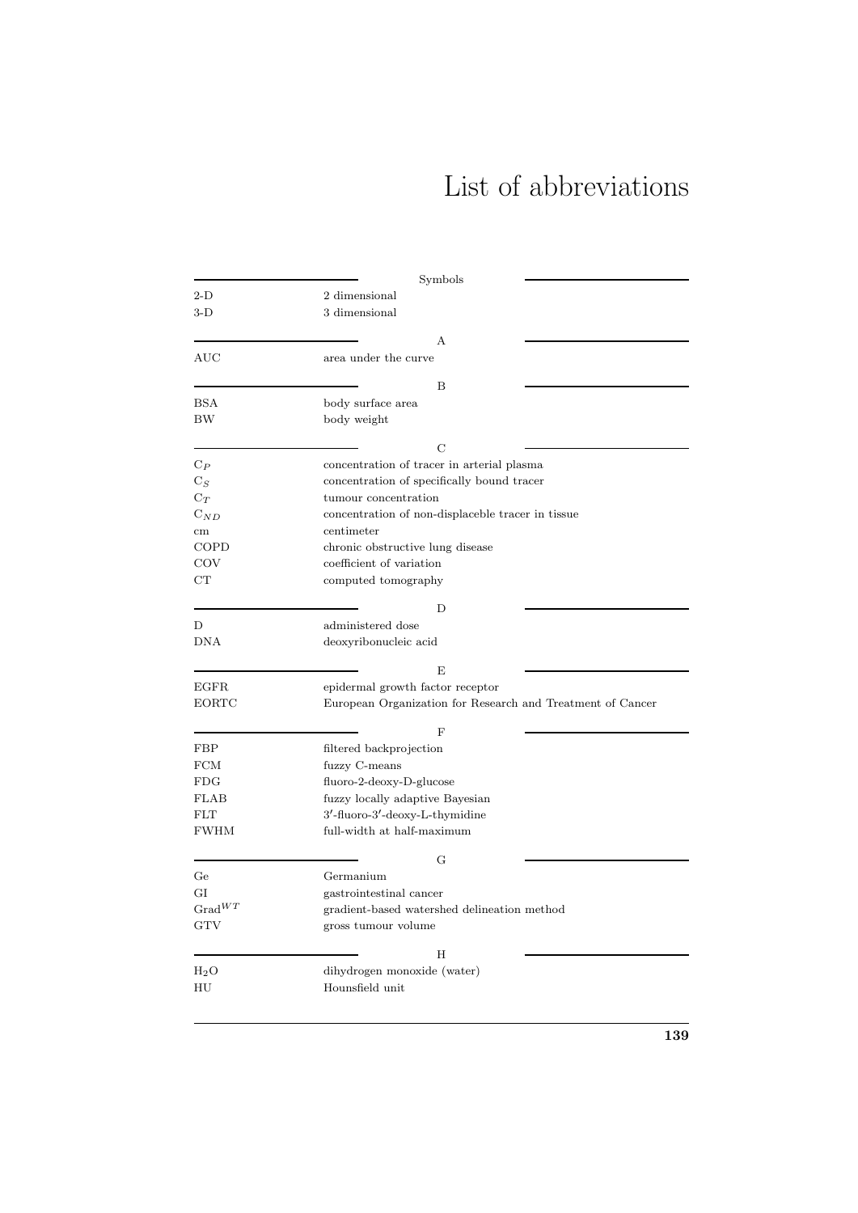## List of abbreviations

|                             | Symbols                                                    |  |  |
|-----------------------------|------------------------------------------------------------|--|--|
| $2-D$                       | 2 dimensional                                              |  |  |
| 3-D                         | 3 dimensional                                              |  |  |
|                             |                                                            |  |  |
|                             | A                                                          |  |  |
| <b>AUC</b>                  | area under the curve                                       |  |  |
|                             |                                                            |  |  |
|                             | B                                                          |  |  |
| <b>BSA</b>                  | body surface area                                          |  |  |
| BW                          | body weight                                                |  |  |
|                             | C                                                          |  |  |
|                             |                                                            |  |  |
| $\mathrm{C}_P$              | concentration of tracer in arterial plasma                 |  |  |
| $C_S$                       | concentration of specifically bound tracer                 |  |  |
| $\mathrm{C}_T$              | tumour concentration                                       |  |  |
| $C_{ND}$                    | concentration of non-displaceble tracer in tissue          |  |  |
| cm                          | centimeter                                                 |  |  |
| COPD                        | chronic obstructive lung disease                           |  |  |
| COV                         | coefficient of variation                                   |  |  |
| $_{\rm CT}$                 | computed tomography                                        |  |  |
|                             |                                                            |  |  |
|                             | D                                                          |  |  |
| D                           | administered dose                                          |  |  |
| <b>DNA</b>                  | deoxyribonucleic acid                                      |  |  |
|                             | E                                                          |  |  |
| <b>EGFR</b>                 | epidermal growth factor receptor                           |  |  |
| <b>EORTC</b>                | European Organization for Research and Treatment of Cancer |  |  |
|                             |                                                            |  |  |
|                             | F                                                          |  |  |
| FBP                         | filtered backprojection                                    |  |  |
| <b>FCM</b>                  | fuzzy C-means                                              |  |  |
| FDG                         | fluoro-2-deoxy-D-glucose                                   |  |  |
| <b>FLAB</b>                 | fuzzy locally adaptive Bayesian                            |  |  |
| <b>FLT</b>                  | $3'$ -fluoro- $3'$ -deoxy-L-thymidine                      |  |  |
| <b>FWHM</b>                 | full-width at half-maximum                                 |  |  |
|                             |                                                            |  |  |
|                             | G                                                          |  |  |
| Ge                          | Germanium                                                  |  |  |
| GI                          | gastrointestinal cancer                                    |  |  |
| $Grad^{WT}$                 | gradient-based watershed delineation method                |  |  |
| <b>GTV</b>                  | gross tumour volume                                        |  |  |
|                             |                                                            |  |  |
|                             | Η                                                          |  |  |
| $_{\mathrm{H}_2\mathrm{O}}$ | dihydrogen monoxide (water)                                |  |  |
| ΗU                          | Hounsfield unit                                            |  |  |
|                             |                                                            |  |  |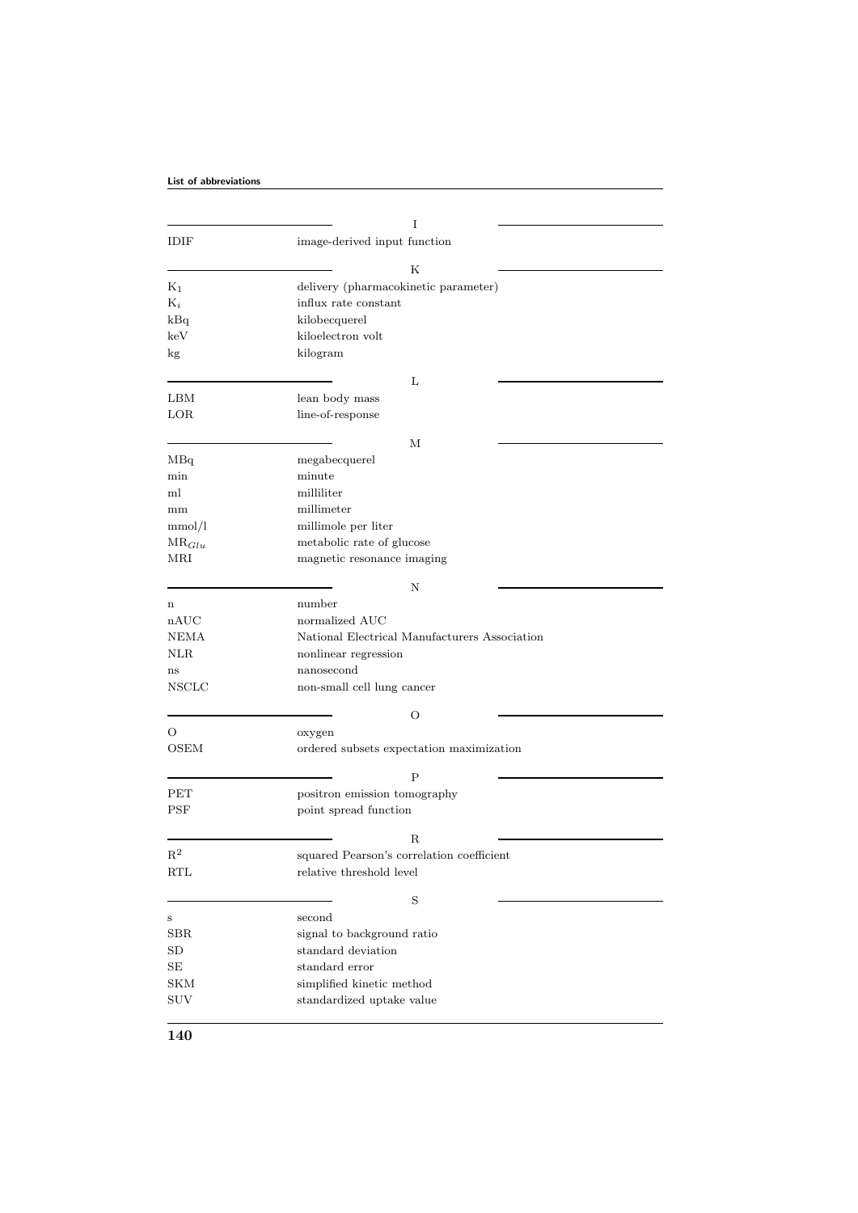|                | I                                             |  |  |
|----------------|-----------------------------------------------|--|--|
| IDIF           | image-derived input function                  |  |  |
|                |                                               |  |  |
|                | Κ                                             |  |  |
| $K_1$          | delivery (pharmacokinetic parameter)          |  |  |
| $K_i$          | influx rate constant                          |  |  |
| kBq            | kilobecquerel                                 |  |  |
| keV            | kiloelectron volt                             |  |  |
| kg             | kilogram                                      |  |  |
|                | L                                             |  |  |
| LBM            | lean body mass                                |  |  |
| LOR            | line-of-response                              |  |  |
|                |                                               |  |  |
|                | М                                             |  |  |
| MBq            | megabecquerel                                 |  |  |
| min            | minute                                        |  |  |
| ml             | milliliter                                    |  |  |
| mm             | millimeter                                    |  |  |
| mmol/l         | millimole per liter                           |  |  |
| $MR_{Glu}$     | metabolic rate of glucose                     |  |  |
| MRI            | magnetic resonance imaging                    |  |  |
|                | Ν                                             |  |  |
| n              | number                                        |  |  |
| nAUC           | normalized AUC                                |  |  |
| NEMA           | National Electrical Manufacturers Association |  |  |
| NLR            | nonlinear regression                          |  |  |
| ns             | nanosecond                                    |  |  |
| NSCLC          | non-small cell lung cancer                    |  |  |
|                |                                               |  |  |
|                | O                                             |  |  |
| О              | oxygen                                        |  |  |
| <b>OSEM</b>    | ordered subsets expectation maximization      |  |  |
|                | P                                             |  |  |
| PET            | positron emission tomography                  |  |  |
| PSF            | point spread function                         |  |  |
|                | R                                             |  |  |
| $\mathbf{R}^2$ | squared Pearson's correlation coefficient     |  |  |
| <b>RTL</b>     | relative threshold level                      |  |  |
|                |                                               |  |  |
|                | $\rm S$                                       |  |  |
| S              | second                                        |  |  |
| <b>SBR</b>     | signal to background ratio                    |  |  |
| SD             | standard deviation                            |  |  |
| SE             | standard error                                |  |  |
| <b>SKM</b>     | simplified kinetic method                     |  |  |
| $_{\rm{SUV}}$  | standardized uptake value                     |  |  |
|                |                                               |  |  |